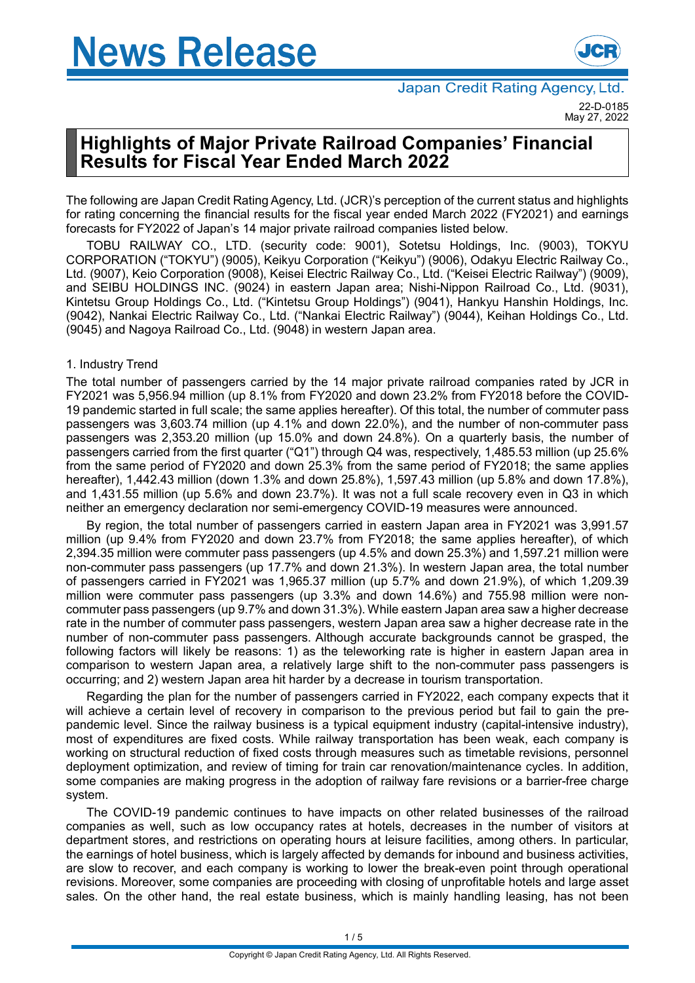

# **Highlights of Major Private Railroad Companies' Financial Results for Fiscal Year Ended March 2022**

The following are Japan Credit Rating Agency, Ltd. (JCR)'s perception of the current status and highlights for rating concerning the financial results for the fiscal year ended March 2022 (FY2021) and earnings forecasts for FY2022 of Japan's 14 major private railroad companies listed below.

TOBU RAILWAY CO., LTD. (security code: 9001), Sotetsu Holdings, Inc. (9003), TOKYU CORPORATION ("TOKYU") (9005), Keikyu Corporation ("Keikyu") (9006), Odakyu Electric Railway Co., Ltd. (9007), Keio Corporation (9008), Keisei Electric Railway Co., Ltd. ("Keisei Electric Railway") (9009), and SEIBU HOLDINGS INC. (9024) in eastern Japan area; Nishi-Nippon Railroad Co., Ltd. (9031), Kintetsu Group Holdings Co., Ltd. ("Kintetsu Group Holdings") (9041), Hankyu Hanshin Holdings, Inc. (9042), Nankai Electric Railway Co., Ltd. ("Nankai Electric Railway") (9044), Keihan Holdings Co., Ltd. (9045) and Nagoya Railroad Co., Ltd. (9048) in western Japan area.

# 1. Industry Trend

The total number of passengers carried by the 14 major private railroad companies rated by JCR in FY2021 was 5,956.94 million (up 8.1% from FY2020 and down 23.2% from FY2018 before the COVID-19 pandemic started in full scale; the same applies hereafter). Of this total, the number of commuter pass passengers was 3,603.74 million (up 4.1% and down 22.0%), and the number of non-commuter pass passengers was 2,353.20 million (up 15.0% and down 24.8%). On a quarterly basis, the number of passengers carried from the first quarter ("Q1") through Q4 was, respectively, 1,485.53 million (up 25.6% from the same period of FY2020 and down 25.3% from the same period of FY2018; the same applies hereafter), 1,442.43 million (down 1.3% and down 25.8%), 1,597.43 million (up 5.8% and down 17.8%), and 1,431.55 million (up 5.6% and down 23.7%). It was not a full scale recovery even in Q3 in which neither an emergency declaration nor semi-emergency COVID-19 measures were announced.

By region, the total number of passengers carried in eastern Japan area in FY2021 was 3,991.57 million (up 9.4% from FY2020 and down 23.7% from FY2018; the same applies hereafter), of which 2,394.35 million were commuter pass passengers (up 4.5% and down 25.3%) and 1,597.21 million were non-commuter pass passengers (up 17.7% and down 21.3%). In western Japan area, the total number of passengers carried in FY2021 was 1,965.37 million (up 5.7% and down 21.9%), of which 1,209.39 million were commuter pass passengers (up 3.3% and down 14.6%) and 755.98 million were noncommuter pass passengers (up 9.7% and down 31.3%). While eastern Japan area saw a higher decrease rate in the number of commuter pass passengers, western Japan area saw a higher decrease rate in the number of non-commuter pass passengers. Although accurate backgrounds cannot be grasped, the following factors will likely be reasons: 1) as the teleworking rate is higher in eastern Japan area in comparison to western Japan area, a relatively large shift to the non-commuter pass passengers is occurring; and 2) western Japan area hit harder by a decrease in tourism transportation.

Regarding the plan for the number of passengers carried in FY2022, each company expects that it will achieve a certain level of recovery in comparison to the previous period but fail to gain the prepandemic level. Since the railway business is a typical equipment industry (capital-intensive industry), most of expenditures are fixed costs. While railway transportation has been weak, each company is working on structural reduction of fixed costs through measures such as timetable revisions, personnel deployment optimization, and review of timing for train car renovation/maintenance cycles. In addition, some companies are making progress in the adoption of railway fare revisions or a barrier-free charge system.

The COVID-19 pandemic continues to have impacts on other related businesses of the railroad companies as well, such as low occupancy rates at hotels, decreases in the number of visitors at department stores, and restrictions on operating hours at leisure facilities, among others. In particular, the earnings of hotel business, which is largely affected by demands for inbound and business activities, are slow to recover, and each company is working to lower the break-even point through operational revisions. Moreover, some companies are proceeding with closing of unprofitable hotels and large asset sales. On the other hand, the real estate business, which is mainly handling leasing, has not been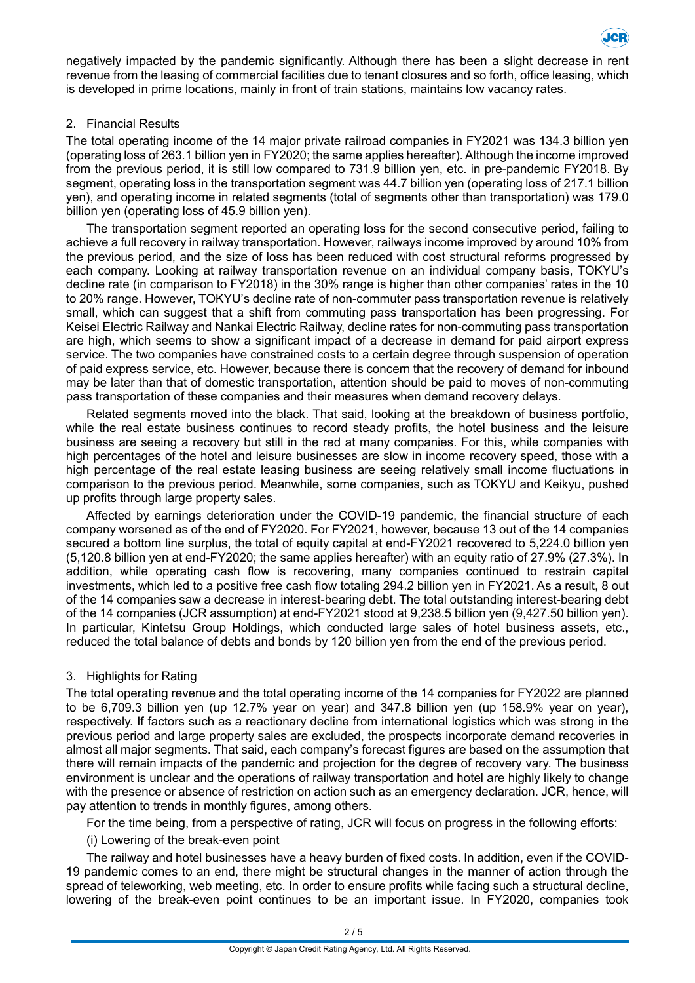

negatively impacted by the pandemic significantly. Although there has been a slight decrease in rent revenue from the leasing of commercial facilities due to tenant closures and so forth, office leasing, which is developed in prime locations, mainly in front of train stations, maintains low vacancy rates.

## 2. Financial Results

The total operating income of the 14 major private railroad companies in FY2021 was 134.3 billion yen (operating loss of 263.1 billion yen in FY2020; the same applies hereafter).Although the income improved from the previous period, it is still low compared to 731.9 billion yen, etc. in pre-pandemic FY2018. By segment, operating loss in the transportation segment was 44.7 billion yen (operating loss of 217.1 billion yen), and operating income in related segments (total of segments other than transportation) was 179.0 billion yen (operating loss of 45.9 billion yen).

The transportation segment reported an operating loss for the second consecutive period, failing to achieve a full recovery in railway transportation. However, railways income improved by around 10% from the previous period, and the size of loss has been reduced with cost structural reforms progressed by each company. Looking at railway transportation revenue on an individual company basis, TOKYU's decline rate (in comparison to FY2018) in the 30% range is higher than other companies' rates in the 10 to 20% range. However, TOKYU's decline rate of non-commuter pass transportation revenue is relatively small, which can suggest that a shift from commuting pass transportation has been progressing. For Keisei Electric Railway and Nankai Electric Railway, decline rates for non-commuting pass transportation are high, which seems to show a significant impact of a decrease in demand for paid airport express service. The two companies have constrained costs to a certain degree through suspension of operation of paid express service, etc. However, because there is concern that the recovery of demand for inbound may be later than that of domestic transportation, attention should be paid to moves of non-commuting pass transportation of these companies and their measures when demand recovery delays.

Related segments moved into the black. That said, looking at the breakdown of business portfolio, while the real estate business continues to record steady profits, the hotel business and the leisure business are seeing a recovery but still in the red at many companies. For this, while companies with high percentages of the hotel and leisure businesses are slow in income recovery speed, those with a high percentage of the real estate leasing business are seeing relatively small income fluctuations in comparison to the previous period. Meanwhile, some companies, such as TOKYU and Keikyu, pushed up profits through large property sales.

Affected by earnings deterioration under the COVID-19 pandemic, the financial structure of each company worsened as of the end of FY2020. For FY2021, however, because 13 out of the 14 companies secured a bottom line surplus, the total of equity capital at end-FY2021 recovered to 5,224.0 billion yen (5,120.8 billion yen at end-FY2020; the same applies hereafter) with an equity ratio of 27.9% (27.3%). In addition, while operating cash flow is recovering, many companies continued to restrain capital investments, which led to a positive free cash flow totaling 294.2 billion yen in FY2021. As a result, 8 out of the 14 companies saw a decrease in interest-bearing debt. The total outstanding interest-bearing debt of the 14 companies (JCR assumption) at end-FY2021 stood at 9,238.5 billion yen (9,427.50 billion yen). In particular, Kintetsu Group Holdings, which conducted large sales of hotel business assets, etc., reduced the total balance of debts and bonds by 120 billion yen from the end of the previous period.

### 3. Highlights for Rating

The total operating revenue and the total operating income of the 14 companies for FY2022 are planned to be 6,709.3 billion yen (up 12.7% year on year) and 347.8 billion yen (up 158.9% year on year), respectively. If factors such as a reactionary decline from international logistics which was strong in the previous period and large property sales are excluded, the prospects incorporate demand recoveries in almost all major segments. That said, each company's forecast figures are based on the assumption that there will remain impacts of the pandemic and projection for the degree of recovery vary. The business environment is unclear and the operations of railway transportation and hotel are highly likely to change with the presence or absence of restriction on action such as an emergency declaration. JCR, hence, will pay attention to trends in monthly figures, among others.

For the time being, from a perspective of rating, JCR will focus on progress in the following efforts:

(i) Lowering of the break-even point

The railway and hotel businesses have a heavy burden of fixed costs. In addition, even if the COVID-19 pandemic comes to an end, there might be structural changes in the manner of action through the spread of teleworking, web meeting, etc. In order to ensure profits while facing such a structural decline, lowering of the break-even point continues to be an important issue. In FY2020, companies took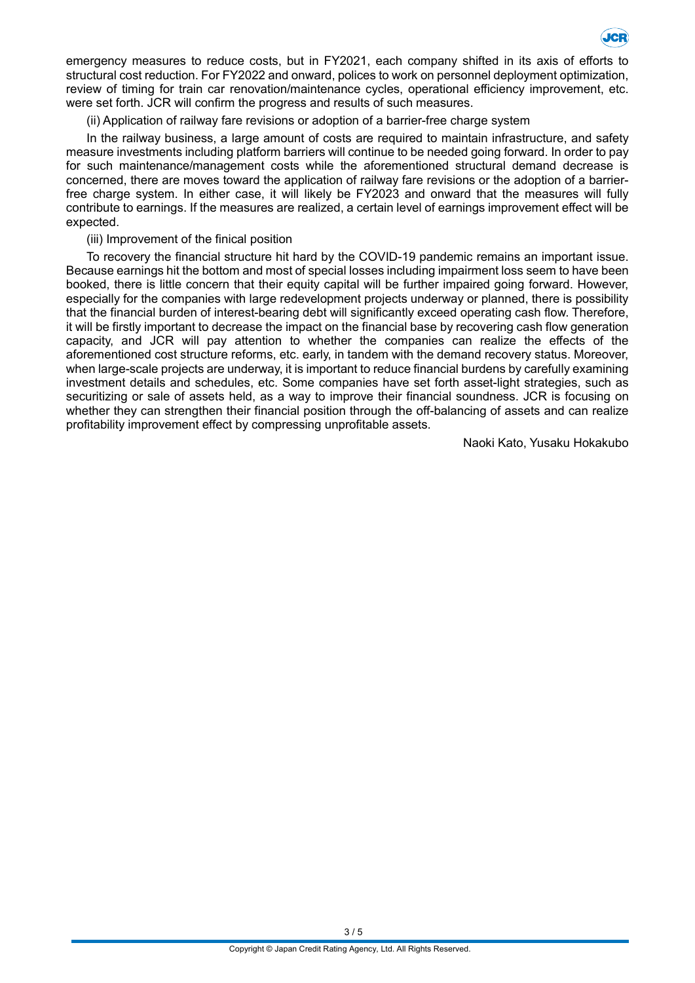

emergency measures to reduce costs, but in FY2021, each company shifted in its axis of efforts to structural cost reduction. For FY2022 and onward, polices to work on personnel deployment optimization, review of timing for train car renovation/maintenance cycles, operational efficiency improvement, etc. were set forth. JCR will confirm the progress and results of such measures.

(ii) Application of railway fare revisions or adoption of a barrier-free charge system

In the railway business, a large amount of costs are required to maintain infrastructure, and safety measure investments including platform barriers will continue to be needed going forward. In order to pay for such maintenance/management costs while the aforementioned structural demand decrease is concerned, there are moves toward the application of railway fare revisions or the adoption of a barrierfree charge system. In either case, it will likely be FY2023 and onward that the measures will fully contribute to earnings. If the measures are realized, a certain level of earnings improvement effect will be expected.

(iii) Improvement of the finical position

To recovery the financial structure hit hard by the COVID-19 pandemic remains an important issue. Because earnings hit the bottom and most of special losses including impairment loss seem to have been booked, there is little concern that their equity capital will be further impaired going forward. However, especially for the companies with large redevelopment projects underway or planned, there is possibility that the financial burden of interest-bearing debt will significantly exceed operating cash flow. Therefore, it will be firstly important to decrease the impact on the financial base by recovering cash flow generation capacity, and JCR will pay attention to whether the companies can realize the effects of the aforementioned cost structure reforms, etc. early, in tandem with the demand recovery status. Moreover, when large-scale projects are underway, it is important to reduce financial burdens by carefully examining investment details and schedules, etc. Some companies have set forth asset-light strategies, such as securitizing or sale of assets held, as a way to improve their financial soundness. JCR is focusing on whether they can strengthen their financial position through the off-balancing of assets and can realize profitability improvement effect by compressing unprofitable assets.

Naoki Kato, Yusaku Hokakubo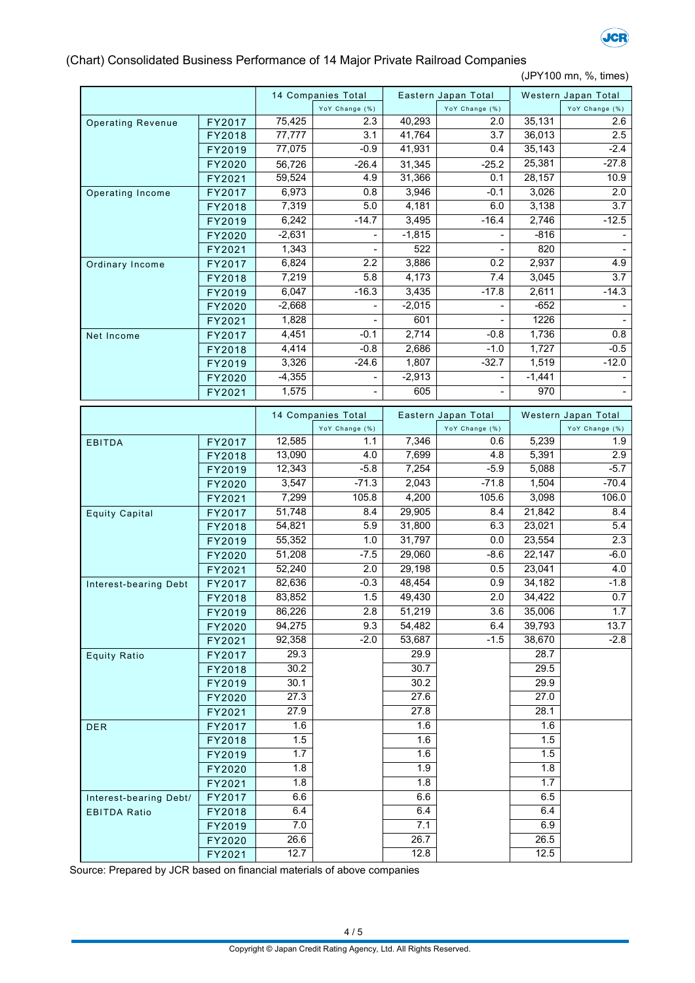

## (Chart) Consolidated Business Performance of 14 Major Private Railroad Companies

(JPY100 mn, %, times)

|                          |                  |          | 14 Companies Total       |          | Eastern Japan Total   |          | Western Japan Total   |
|--------------------------|------------------|----------|--------------------------|----------|-----------------------|----------|-----------------------|
|                          |                  |          | YoY Change (%)           |          | YoY Change (%)        |          | YoY Change (%)        |
| <b>Operating Revenue</b> | FY2017           | 75,425   | 2.3                      | 40,293   | 2.0                   | 35,131   | 2.6                   |
|                          | FY2018           | 77,777   | 3.1                      | 41,764   | 3.7                   | 36,013   | 2.5                   |
|                          | FY2019           | 77,075   | $-0.9$                   | 41,931   | 0.4                   | 35,143   | $-2.4$                |
|                          | FY2020           | 56,726   | $-26.4$                  | 31,345   | $-25.2$               | 25,381   | $-27.8$               |
|                          | FY2021           | 59,524   | 4.9                      | 31,366   | 0.1                   | 28,157   | 10.9                  |
| Operating Income         | FY2017           | 6,973    | 0.8                      | 3,946    | $-0.1$                | 3,026    | 2.0                   |
|                          | FY2018           | 7,319    | 5.0                      | 4,181    | 6.0                   | 3,138    | 3.7                   |
|                          | FY2019           | 6,242    | $-14.7$                  | 3,495    | $-16.4$               | 2,746    | $-12.5$               |
|                          | FY2020           | $-2,631$ |                          | $-1,815$ |                       | $-816$   |                       |
|                          | FY2021           | 1,343    |                          | 522      |                       | 820      |                       |
| Ordinary Income          | FY2017           | 6,824    | 2.2                      | 3,886    | 0.2                   | 2,937    | 4.9                   |
|                          | FY2018           | 7,219    | 5.8                      | 4,173    | 7.4                   | 3,045    | 3.7                   |
|                          | FY2019           | 6,047    | $-16.3$                  | 3,435    | $-17.8$               | 2,611    | $-14.3$               |
|                          | FY2020           | $-2,668$ |                          | $-2,015$ |                       | $-652$   |                       |
|                          | FY2021           | 1,828    |                          | 601      |                       | 1226     |                       |
| Net Income               | FY2017           | 4,451    | $-0.1$                   | 2,714    | $-0.8$                | 1,736    | 0.8                   |
|                          | FY2018           | 4,414    | $-0.8$                   | 2,686    | $-1.0$                | 1,727    | $-0.5$                |
|                          | FY2019           | 3,326    | $-24.6$                  | 1,807    | $-32.7$               | 1,519    | $-12.0$               |
|                          | FY2020           | $-4,355$ | -                        | $-2,913$ | $\blacksquare$        | $-1,441$ |                       |
|                          | FY2021           | 1,575    | $\overline{\phantom{0}}$ | 605      | $\blacksquare$        | 970      |                       |
|                          |                  |          |                          |          |                       |          |                       |
|                          |                  |          | 14 Companies Total       |          | Eastern Japan Total   |          | Western Japan Total   |
|                          |                  | 12,585   | YoY Change (%)<br>1.1    | 7,346    | YoY Change (%)<br>0.6 | 5,239    | YoY Change (%)<br>1.9 |
| <b>EBITDA</b>            | FY2017           | 13,090   | 4.0                      | 7,699    | 4.8                   | 5,391    | 2.9                   |
|                          | FY2018<br>FY2019 | 12,343   | $-5.8$                   | 7,254    | $-5.9$                | 5,088    | $-5.7$                |
|                          | FY2020           | 3,547    | $-71.3$                  | 2,043    | $-71.8$               | 1,504    | $-70.4$               |
|                          | FY2021           | 7,299    | 105.8                    | 4,200    | 105.6                 | 3,098    | 106.0                 |
| <b>Equity Capital</b>    | FY2017           | 51,748   | 8.4                      | 29,905   | 8.4                   | 21,842   | 8.4                   |
|                          | FY2018           | 54,821   | 5.9                      | 31,800   | 6.3                   | 23,021   | 5.4                   |
|                          | FY2019           | 55,352   | 1.0                      | 31,797   | 0.0                   | 23,554   | 2.3                   |
|                          | FY2020           | 51,208   | $-7.5$                   | 29,060   | $-8.6$                | 22,147   | $-6.0$                |
|                          | FY2021           | 52,240   | 2.0                      | 29,198   | 0.5                   | 23,041   | 4.0                   |
| Interest-bearing Debt    | FY2017           | 82,636   | $-0.3$                   | 48,454   | 0.9                   | 34,182   | $-1.8$                |
|                          | FY2018           | 83,852   | 1.5                      | 49,430   | 2.0                   | 34,422   | 0.7                   |
|                          | FY2019           | 86,226   | 2.8                      | 51,219   | 3.6                   | 35,006   | 1.7                   |
|                          | FY2020           | 94,275   | 9.3                      | 54,482   | 6.4                   | 39,793   | 13.7                  |
|                          | FY2021           | 92,358   | $-2.0$                   | 53,687   | $-1.5$                | 38,670   | $-2.8$                |
| <b>Equity Ratio</b>      | FY2017           | 29.3     |                          | 29.9     |                       | 28.7     |                       |
|                          | FY2018           | 30.2     |                          | 30.7     |                       | 29.5     |                       |
|                          | FY2019           | 30.1     |                          | 30.2     |                       | 29.9     |                       |
|                          | FY2020           | 27.3     |                          | 27.6     |                       | 27.0     |                       |
|                          | FY2021           | 27.9     |                          | 27.8     |                       | 28.1     |                       |
| <b>DER</b>               | FY2017           | 1.6      |                          | 1.6      |                       | 1.6      |                       |
|                          | FY2018           | 1.5      |                          | 1.6      |                       | 1.5      |                       |
|                          | FY2019           | 1.7      |                          | 1.6      |                       | 1.5      |                       |
|                          | FY2020           | 1.8      |                          | 1.9      |                       | 1.8      |                       |
|                          | FY2021           | 1.8      |                          | 1.8      |                       | 1.7      |                       |
| Interest-bearing Debt/   | FY2017           | 6.6      |                          | 6.6      |                       | 6.5      |                       |
| <b>EBITDA Ratio</b>      | FY2018           | 6.4      |                          | 6.4      |                       | 6.4      |                       |
|                          | FY2019           | 7.0      |                          | 7.1      |                       | 6.9      |                       |
|                          | FY2020           | 26.6     |                          | 26.7     |                       | 26.5     |                       |
|                          | FY2021           | 12.7     |                          | 12.8     |                       | 12.5     |                       |

Source: Prepared by JCR based on financial materials of above companies